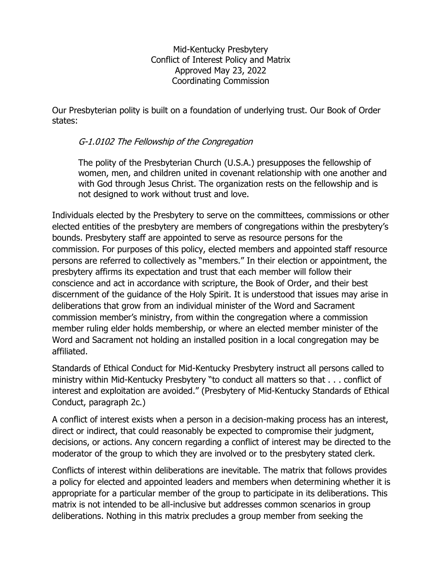Mid-Kentucky Presbytery Conflict of Interest Policy and Matrix Approved May 23, 2022 Coordinating Commission

Our Presbyterian polity is built on a foundation of underlying trust. Our Book of Order states:

## G-1.0102 The Fellowship of the Congregation

The polity of the Presbyterian Church (U.S.A.) presupposes the fellowship of women, men, and children united in covenant relationship with one another and with God through Jesus Christ. The organization rests on the fellowship and is not designed to work without trust and love.

Individuals elected by the Presbytery to serve on the committees, commissions or other elected entities of the presbytery are members of congregations within the presbytery's bounds. Presbytery staff are appointed to serve as resource persons for the commission. For purposes of this policy, elected members and appointed staff resource persons are referred to collectively as "members." In their election or appointment, the presbytery affirms its expectation and trust that each member will follow their conscience and act in accordance with scripture, the Book of Order, and their best discernment of the guidance of the Holy Spirit. It is understood that issues may arise in deliberations that grow from an individual minister of the Word and Sacrament commission member's ministry, from within the congregation where a commission member ruling elder holds membership, or where an elected member minister of the Word and Sacrament not holding an installed position in a local congregation may be affiliated.

Standards of Ethical Conduct for Mid-Kentucky Presbytery instruct all persons called to ministry within Mid-Kentucky Presbytery "to conduct all matters so that . . . conflict of interest and exploitation are avoided." (Presbytery of Mid-Kentucky Standards of Ethical Conduct, paragraph 2c.)

A conflict of interest exists when a person in a decision-making process has an interest, direct or indirect, that could reasonably be expected to compromise their judgment, decisions, or actions. Any concern regarding a conflict of interest may be directed to the moderator of the group to which they are involved or to the presbytery stated clerk.

Conflicts of interest within deliberations are inevitable. The matrix that follows provides a policy for elected and appointed leaders and members when determining whether it is appropriate for a particular member of the group to participate in its deliberations. This matrix is not intended to be all-inclusive but addresses common scenarios in group deliberations. Nothing in this matrix precludes a group member from seeking the